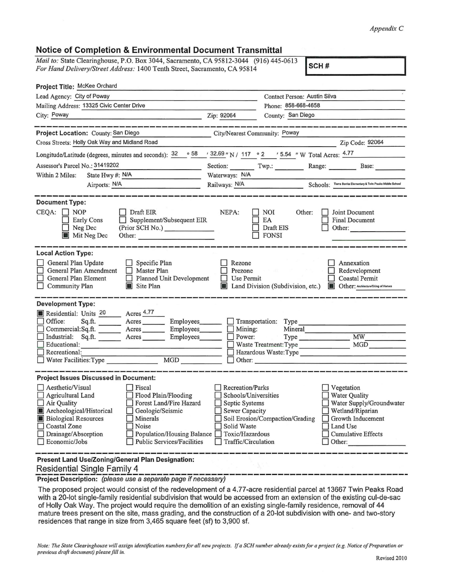## *Appendix C*

## **Notice of Completion** & **Environmental Document Transmittal**

*Mail to:* State Clearinghouse, P.O. Box 3044, Sacramento, CA 95812-3044 (916) 445-0613 *For Hand Delivery/Street Address:* 1400 Tenth Street, Sacramento, CA 95814 **SCH #** 

| Project Title: McKee Orchard                                                                                                                                                                                                                                                                                                                                                                                                                  |                                                                                                                                  |                                                                                        |                                                                                                                                                            |  |
|-----------------------------------------------------------------------------------------------------------------------------------------------------------------------------------------------------------------------------------------------------------------------------------------------------------------------------------------------------------------------------------------------------------------------------------------------|----------------------------------------------------------------------------------------------------------------------------------|----------------------------------------------------------------------------------------|------------------------------------------------------------------------------------------------------------------------------------------------------------|--|
| Lead Agency: City of Poway                                                                                                                                                                                                                                                                                                                                                                                                                    |                                                                                                                                  | Contact Person: Austin Silva                                                           |                                                                                                                                                            |  |
| Mailing Address: 13325 Civic Center Drive                                                                                                                                                                                                                                                                                                                                                                                                     |                                                                                                                                  | Phone: 858-668-4658                                                                    |                                                                                                                                                            |  |
| City: Poway                                                                                                                                                                                                                                                                                                                                                                                                                                   | Zip: 92064                                                                                                                       | County: San Diego                                                                      |                                                                                                                                                            |  |
|                                                                                                                                                                                                                                                                                                                                                                                                                                               |                                                                                                                                  |                                                                                        |                                                                                                                                                            |  |
| <b>Project Location: County: San Diego</b>                                                                                                                                                                                                                                                                                                                                                                                                    | City/Nearest Community: Poway                                                                                                    |                                                                                        |                                                                                                                                                            |  |
| Cross Streets: Holly Oak Way and Midland Road                                                                                                                                                                                                                                                                                                                                                                                                 |                                                                                                                                  |                                                                                        | Zip Code: 92064                                                                                                                                            |  |
| Longitude/Latitude (degrees, minutes and seconds): $\frac{32}{9}$ $\frac{32.69}{1}$ N / 117 ° 2 ′ 5.54 ″ W Total Acres: 4.77                                                                                                                                                                                                                                                                                                                  |                                                                                                                                  |                                                                                        |                                                                                                                                                            |  |
| Assessor's Parcel No.: 31419202                                                                                                                                                                                                                                                                                                                                                                                                               |                                                                                                                                  | Section: Twp.: Twp.: Range: Base:                                                      |                                                                                                                                                            |  |
| State Hwy #: N/A<br>Within 2 Miles:                                                                                                                                                                                                                                                                                                                                                                                                           | Waterways: N/A                                                                                                                   |                                                                                        |                                                                                                                                                            |  |
| Railways: N/A<br>Airports: N/A                                                                                                                                                                                                                                                                                                                                                                                                                |                                                                                                                                  |                                                                                        | Schools: Tierra Bonita Elementary & Twin Peaks Middle School                                                                                               |  |
| <b>Document Type:</b><br>$CEOA: \Box NOP$<br>Draft EIR<br>Supplement/Subsequent EIR<br><b>Early Cons</b><br>$(Prior \tilde{SCH No.})$<br>$\Box$ Neg Dec<br>Mit Neg Dec<br>Other:                                                                                                                                                                                                                                                              | NEPA:                                                                                                                            | NOI<br>Other:<br>EA<br>Draft EIS<br>$\Box$ FONSI                                       | Joint Document<br><b>Final Document</b><br>Other:                                                                                                          |  |
| <b>Local Action Type:</b><br>General Plan Update<br>$\Box$ Specific Plan<br>General Plan Amendment □ Master Plan<br>Planned Unit Development<br>$\Box$ General Plan Element<br>Site Plan<br>$\Box$ Community Plan                                                                                                                                                                                                                             | Rezone<br>Prezone<br>$\Box$ Use Permit                                                                                           | Land Division (Subdivision, etc.) <b>In Other:</b> Architecture/Siting of Homes        | Annexation<br>Redevelopment<br>$\Box$ Coastal Permit                                                                                                       |  |
| <b>Development Type:</b><br>Residential: Units 20 Acres 4.77<br>Office:<br>Sq.ft. __________ Acres ___________ Employees___________ ___<br>Commercial:Sq.ft. ________ Acres ________ Employees_______<br>Industrial: Sq.ft. _______ Acres _______ Employees_______<br>Educational:<br><u> 1989 - Johann John Stone, market f</u><br>Recreational:                                                                                             | Mining:<br>Power:                                                                                                                | Transportation: Type<br>Mineral<br>Type Type<br>Hazardous Waste: Type<br>$\Box$ Other: | <b>MW</b><br>MGD                                                                                                                                           |  |
| <b>Project Issues Discussed in Document:</b><br>$\Box$ Aesthetic/Visual<br>$ $ Fiscal<br>Agricultural Land<br>Flood Plain/Flooding<br>Forest Land/Fire Hazard<br>Air Quality<br>Archeological/Historical<br>Geologic/Seismic<br><b>Biological Resources</b><br>Minerals<br>Coastal Zone<br>Noise<br>$\Box$ Drainage/Absorption<br>□ Population/Housing Balance □ Toxic/Hazardous<br>$\Box$ Economic/Jobs<br>$\Box$ Public Services/Facilities | <b>Recreation/Parks</b><br>Schools/Universities<br>Septic Systems<br>Sewer Capacity<br>Solid Waste<br>$\Box$ Traffic/Circulation | Soil Erosion/Compaction/Grading                                                        | Vegetation<br><b>Water Quality</b><br>Water Supply/Groundwater<br>Wetland/Riparian<br>Growth Inducement<br>Land Use<br>$\Box$ Cumulative Effects<br>Other: |  |
| Present Land Use/Zoning/General Plan Designation:                                                                                                                                                                                                                                                                                                                                                                                             |                                                                                                                                  |                                                                                        |                                                                                                                                                            |  |

## Residential Single Family 4

**Project Description:** (please use a separate page if necessary)

The proposed project would consist of the redevelopment of a 4.77-acre residential parcel at 13667 Twin Peaks Road with a 20-lot single-family residential subdivision that would be accessed from an extension of the existing cul-de-sac of Holly Oak Way. The project would require the demolition of an existing single-family residence, removal of 44 mature trees present on the site, mass grading, and the construction of a 20-lot subdivision with one- and two-story residences that range in size from 3,465 square feet (sf) to 3,900 sf.

*Note: The State Clearinghouse will assign identification numbers for all new projects. If a SCH number already exists for a project (e.g. Notice of Preparation or previous draft document) please fill in.*